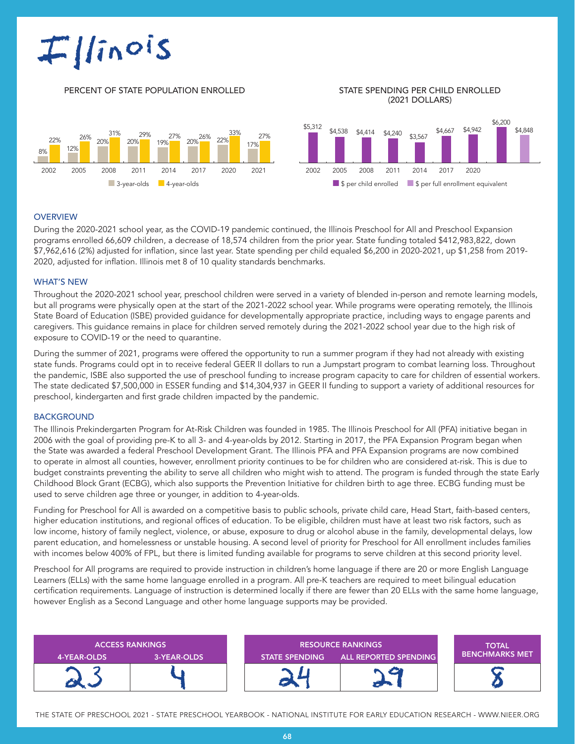# $I|*inois*$

#### PERCENT OF STATE POPULATION ENROLLED STATE SPENDING PER CHILD ENROLLED

## (2021 DOLLARS)





#### **OVERVIEW**

During the 2020-2021 school year, as the COVID-19 pandemic continued, the Illinois Preschool for All and Preschool Expansion programs enrolled 66,609 children, a decrease of 18,574 children from the prior year. State funding totaled \$412,983,822, down \$7,962,616 (2%) adjusted for inflation, since last year. State spending per child equaled \$6,200 in 2020-2021, up \$1,258 from 2019- 2020, adjusted for inflation. Illinois met 8 of 10 quality standards benchmarks.

#### WHAT'S NEW

Throughout the 2020-2021 school year, preschool children were served in a variety of blended in-person and remote learning models, but all programs were physically open at the start of the 2021-2022 school year. While programs were operating remotely, the Illinois State Board of Education (ISBE) provided guidance for developmentally appropriate practice, including ways to engage parents and caregivers. This guidance remains in place for children served remotely during the 2021-2022 school year due to the high risk of exposure to COVID-19 or the need to quarantine.

During the summer of 2021, programs were offered the opportunity to run a summer program if they had not already with existing state funds. Programs could opt in to receive federal GEER II dollars to run a Jumpstart program to combat learning loss. Throughout the pandemic, ISBE also supported the use of preschool funding to increase program capacity to care for children of essential workers. The state dedicated \$7,500,000 in ESSER funding and \$14,304,937 in GEER II funding to support a variety of additional resources for preschool, kindergarten and first grade children impacted by the pandemic.

#### BACKGROUND

The Illinois Prekindergarten Program for At-Risk Children was founded in 1985. The Illinois Preschool for All (PFA) initiative began in 2006 with the goal of providing pre-K to all 3- and 4-year-olds by 2012. Starting in 2017, the PFA Expansion Program began when the State was awarded a federal Preschool Development Grant. The Illinois PFA and PFA Expansion programs are now combined to operate in almost all counties, however, enrollment priority continues to be for children who are considered at-risk. This is due to budget constraints preventing the ability to serve all children who might wish to attend. The program is funded through the state Early Childhood Block Grant (ECBG), which also supports the Prevention Initiative for children birth to age three. ECBG funding must be used to serve children age three or younger, in addition to 4-year-olds.

Funding for Preschool for All is awarded on a competitive basis to public schools, private child care, Head Start, faith-based centers, higher education institutions, and regional offices of education. To be eligible, children must have at least two risk factors, such as low income, history of family neglect, violence, or abuse, exposure to drug or alcohol abuse in the family, developmental delays, low parent education, and homelessness or unstable housing. A second level of priority for Preschool for All enrollment includes families with incomes below 400% of FPL, but there is limited funding available for programs to serve children at this second priority level.

Preschool for All programs are required to provide instruction in children's home language if there are 20 or more English Language Learners (ELLs) with the same home language enrolled in a program. All pre-K teachers are required to meet bilingual education certification requirements. Language of instruction is determined locally if there are fewer than 20 ELLs with the same home language, however English as a Second Language and other home language supports may be provided.



THE STATE OF PRESCHOOL 2021 - STATE PRESCHOOL YEARBOOK - NATIONAL INSTITUTE FOR EARLY EDUCATION RESEARCH - WWW.NIEER.ORG